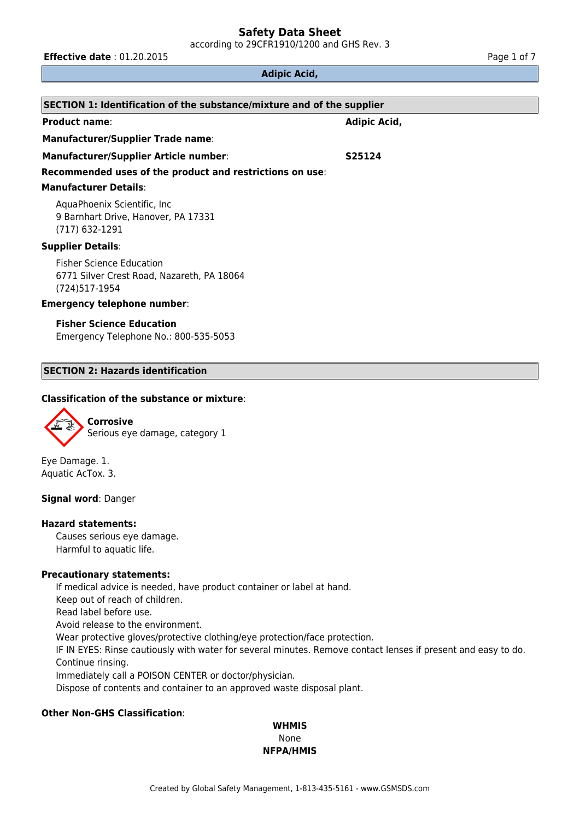according to 29CFR1910/1200 and GHS Rev. 3

**Effective date** : 01.20.2015 **Page 1 of 7 Page 1 of 7** 

#### **Adipic Acid,**

| SECTION 1: Identification of the substance/mixture and of the supplier                          |              |  |  |  |
|-------------------------------------------------------------------------------------------------|--------------|--|--|--|
| <b>Product name:</b>                                                                            | Adipic Acid, |  |  |  |
| <b>Manufacturer/Supplier Trade name:</b>                                                        |              |  |  |  |
| Manufacturer/Supplier Article number:                                                           | S25124       |  |  |  |
| Recommended uses of the product and restrictions on use:                                        |              |  |  |  |
| <b>Manufacturer Details:</b>                                                                    |              |  |  |  |
| AquaPhoenix Scientific, Inc.<br>9 Barnhart Drive, Hanover, PA 17331<br>(717) 632-1291           |              |  |  |  |
| <b>Supplier Details:</b>                                                                        |              |  |  |  |
| <b>Fisher Science Education</b><br>6771 Silver Crest Road, Nazareth, PA 18064<br>(724) 517-1954 |              |  |  |  |
| <b>Emergency telephone number:</b>                                                              |              |  |  |  |
| <b>Fisher Science Education</b><br>Emergency Telephone No.: 800-535-5053                        |              |  |  |  |

#### **SECTION 2: Hazards identification**

## **Classification of the substance or mixture**:



Eye Damage. 1. Aquatic AcTox. 3.

#### **Signal word**: Danger

#### **Hazard statements:**

Causes serious eye damage. Harmful to aquatic life.

## **Precautionary statements:**

If medical advice is needed, have product container or label at hand. Keep out of reach of children. Read label before use. Avoid release to the environment. Wear protective gloves/protective clothing/eye protection/face protection. IF IN EYES: Rinse cautiously with water for several minutes. Remove contact lenses if present and easy to do. Continue rinsing. Immediately call a POISON CENTER or doctor/physician. Dispose of contents and container to an approved waste disposal plant.

# **Other Non-GHS Classification**:

# **WHMIS** None **NFPA/HMIS**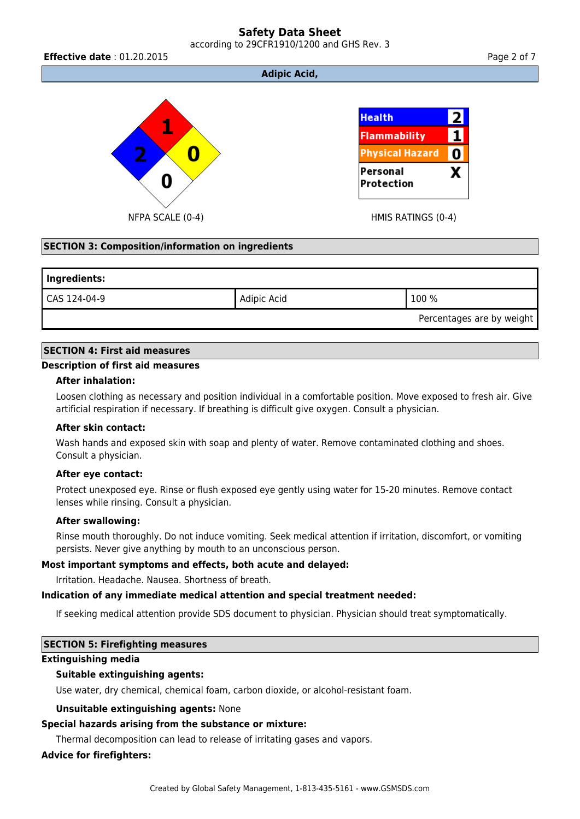# **Safety Data Sheet** according to 29CFR1910/1200 and GHS Rev. 3

**Effective date** : 01.20.2015 **Page 2 of 7 Page 2 of 7** 

# **Adipic Acid,**



# **SECTION 3: Composition/information on ingredients**

| Ingredients: |             |                           |  |  |
|--------------|-------------|---------------------------|--|--|
| CAS 124-04-9 | Adipic Acid | 100 %                     |  |  |
|              |             | Percentages are by weight |  |  |

# **SECTION 4: First aid measures**

#### **Description of first aid measures**

#### **After inhalation:**

Loosen clothing as necessary and position individual in a comfortable position. Move exposed to fresh air. Give artificial respiration if necessary. If breathing is difficult give oxygen. Consult a physician.

#### **After skin contact:**

Wash hands and exposed skin with soap and plenty of water. Remove contaminated clothing and shoes. Consult a physician.

#### **After eye contact:**

Protect unexposed eye. Rinse or flush exposed eye gently using water for 15-20 minutes. Remove contact lenses while rinsing. Consult a physician.

#### **After swallowing:**

Rinse mouth thoroughly. Do not induce vomiting. Seek medical attention if irritation, discomfort, or vomiting persists. Never give anything by mouth to an unconscious person.

# **Most important symptoms and effects, both acute and delayed:**

Irritation. Headache. Nausea. Shortness of breath.

# **Indication of any immediate medical attention and special treatment needed:**

If seeking medical attention provide SDS document to physician. Physician should treat symptomatically.

# **SECTION 5: Firefighting measures**

#### **Extinguishing media**

# **Suitable extinguishing agents:**

Use water, dry chemical, chemical foam, carbon dioxide, or alcohol-resistant foam.

# **Unsuitable extinguishing agents:** None

# **Special hazards arising from the substance or mixture:**

Thermal decomposition can lead to release of irritating gases and vapors.

# **Advice for firefighters:**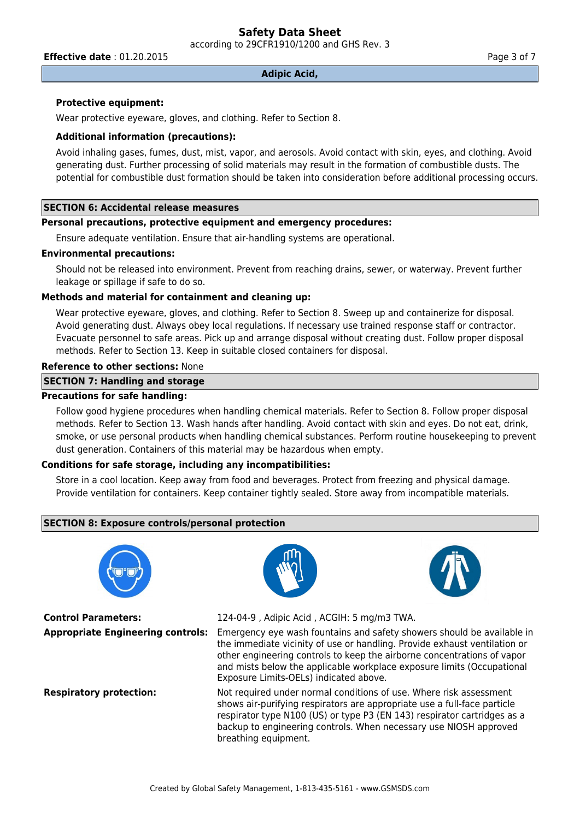according to 29CFR1910/1200 and GHS Rev. 3

**Effective date** : 01.20.2015 **Page 3 of 7 Page 3 of 7** 

#### **Adipic Acid,**

### **Protective equipment:**

Wear protective eyeware, gloves, and clothing. Refer to Section 8.

#### **Additional information (precautions):**

Avoid inhaling gases, fumes, dust, mist, vapor, and aerosols. Avoid contact with skin, eyes, and clothing. Avoid generating dust. Further processing of solid materials may result in the formation of combustible dusts. The potential for combustible dust formation should be taken into consideration before additional processing occurs.

# **SECTION 6: Accidental release measures**

# **Personal precautions, protective equipment and emergency procedures:**

Ensure adequate ventilation. Ensure that air-handling systems are operational.

#### **Environmental precautions:**

Should not be released into environment. Prevent from reaching drains, sewer, or waterway. Prevent further leakage or spillage if safe to do so.

# **Methods and material for containment and cleaning up:**

Wear protective eyeware, gloves, and clothing. Refer to Section 8. Sweep up and containerize for disposal. Avoid generating dust. Always obey local regulations. If necessary use trained response staff or contractor. Evacuate personnel to safe areas. Pick up and arrange disposal without creating dust. Follow proper disposal methods. Refer to Section 13. Keep in suitable closed containers for disposal.

#### **Reference to other sections:** None

#### **SECTION 7: Handling and storage**

#### **Precautions for safe handling:**

Follow good hygiene procedures when handling chemical materials. Refer to Section 8. Follow proper disposal methods. Refer to Section 13. Wash hands after handling. Avoid contact with skin and eyes. Do not eat, drink, smoke, or use personal products when handling chemical substances. Perform routine housekeeping to prevent dust generation. Containers of this material may be hazardous when empty.

#### **Conditions for safe storage, including any incompatibilities:**

Store in a cool location. Keep away from food and beverages. Protect from freezing and physical damage. Provide ventilation for containers. Keep container tightly sealed. Store away from incompatible materials.

# **SECTION 8: Exposure controls/personal protection**



**Control Parameters:** 124-04-9 , Adipic Acid , ACGIH: 5 mg/m3 TWA.





**Appropriate Engineering controls:** Emergency eye wash fountains and safety showers should be available in the immediate vicinity of use or handling. Provide exhaust ventilation or other engineering controls to keep the airborne concentrations of vapor and mists below the applicable workplace exposure limits (Occupational Exposure Limits-OELs) indicated above.

**Respiratory protection:** Not required under normal conditions of use. Where risk assessment shows air-purifying respirators are appropriate use a full-face particle respirator type N100 (US) or type P3 (EN 143) respirator cartridges as a backup to engineering controls. When necessary use NIOSH approved breathing equipment.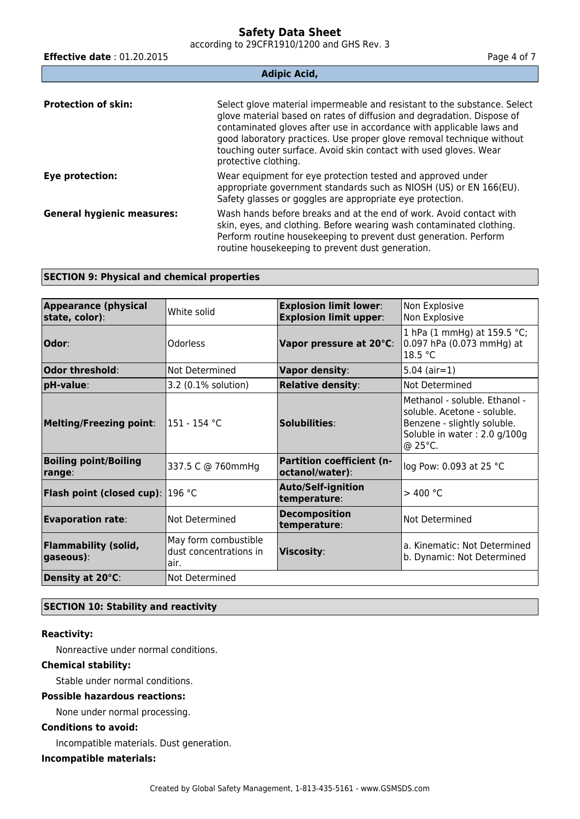according to 29CFR1910/1200 and GHS Rev. 3

| <b>Effective date: 01.20.2015</b> | Page 4 of 7                                                                                                                                                                                                                                                                                                                                                                                      |  |  |  |
|-----------------------------------|--------------------------------------------------------------------------------------------------------------------------------------------------------------------------------------------------------------------------------------------------------------------------------------------------------------------------------------------------------------------------------------------------|--|--|--|
| <b>Adipic Acid,</b>               |                                                                                                                                                                                                                                                                                                                                                                                                  |  |  |  |
| <b>Protection of skin:</b>        | Select glove material impermeable and resistant to the substance. Select<br>glove material based on rates of diffusion and degradation. Dispose of<br>contaminated gloves after use in accordance with applicable laws and<br>good laboratory practices. Use proper glove removal technique without<br>touching outer surface. Avoid skin contact with used gloves. Wear<br>protective clothing. |  |  |  |
| Eye protection:                   | Wear equipment for eye protection tested and approved under<br>appropriate government standards such as NIOSH (US) or EN 166(EU).<br>Safety glasses or goggles are appropriate eye protection.                                                                                                                                                                                                   |  |  |  |
| <b>General hygienic measures:</b> | Wash hands before breaks and at the end of work. Avoid contact with<br>skin, eyes, and clothing. Before wearing wash contaminated clothing.<br>Perform routine housekeeping to prevent dust generation. Perform<br>routine housekeeping to prevent dust generation.                                                                                                                              |  |  |  |

## **SECTION 9: Physical and chemical properties**

| <b>Appearance (physical</b><br>state, color): | White solid                                            | <b>Explosion limit lower:</b><br><b>Explosion limit upper:</b> | Non Explosive<br>Non Explosive                                                                                                         |
|-----------------------------------------------|--------------------------------------------------------|----------------------------------------------------------------|----------------------------------------------------------------------------------------------------------------------------------------|
| Odor:                                         | Odorless                                               | Vapor pressure at 20°C:                                        | 1 hPa (1 mmHg) at 159.5 °C;<br>0.097 hPa (0.073 mmHg) at<br>18.5 °C                                                                    |
| Odor threshold:                               | Not Determined                                         | <b>Vapor density:</b>                                          | $5.04$ (air=1)                                                                                                                         |
| pH-value:                                     | 3.2 (0.1% solution)                                    | <b>Relative density:</b>                                       | Not Determined                                                                                                                         |
| <b>Melting/Freezing point:</b>                | l151 - 154 °C                                          | Solubilities:                                                  | Methanol - soluble, Ethanol -<br>soluble. Acetone - soluble.<br>Benzene - slightly soluble.<br>Soluble in water: 2.0 g/100g<br>@ 25°C. |
| <b>Boiling point/Boiling</b><br>range:        | 337.5 C @ 760mmHg                                      | <b>Partition coefficient (n-</b><br>octanol/water):            | log Pow: 0.093 at 25 °C                                                                                                                |
| <b>Flash point (closed cup):</b>              | 1196 °C                                                | <b>Auto/Self-ignition</b><br>temperature:                      | $>$ 400 °C                                                                                                                             |
| <b>Evaporation rate:</b>                      | Not Determined                                         | <b>Decomposition</b><br>temperature:                           | Not Determined                                                                                                                         |
| <b>Flammability (solid,</b><br>gaseous):      | May form combustible<br>dust concentrations in<br>air. | Viscosity:                                                     | a. Kinematic: Not Determined<br>b. Dynamic: Not Determined                                                                             |
| Density at 20°C:                              | Not Determined                                         |                                                                |                                                                                                                                        |

## **SECTION 10: Stability and reactivity**

# **Reactivity:**

Nonreactive under normal conditions.

# **Chemical stability:**

Stable under normal conditions.

# **Possible hazardous reactions:**

None under normal processing.

# **Conditions to avoid:**

Incompatible materials. Dust generation.

### **Incompatible materials:**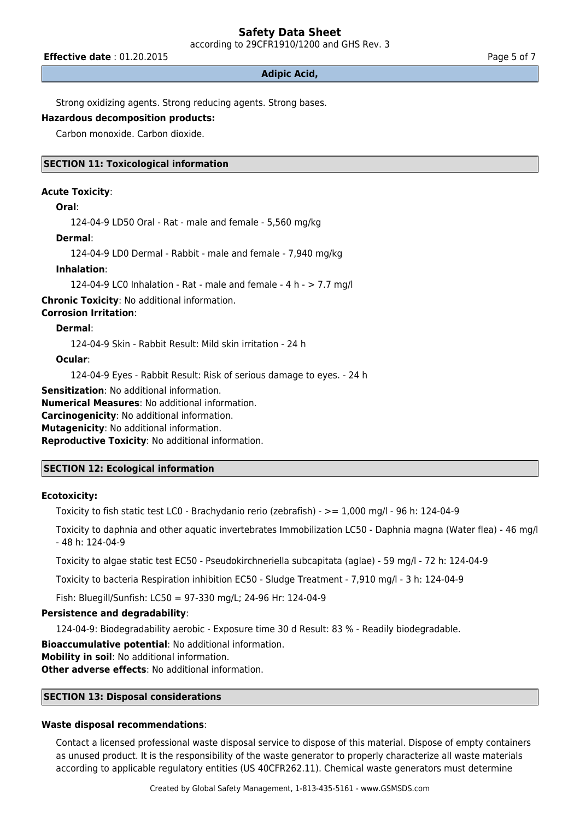according to 29CFR1910/1200 and GHS Rev. 3

**Effective date** : 01.20.2015 **Page 5 of 7 Page 5 of 7** 

#### **Adipic Acid,**

Strong oxidizing agents. Strong reducing agents. Strong bases.

# **Hazardous decomposition products:**

Carbon monoxide. Carbon dioxide.

## **SECTION 11: Toxicological information**

#### **Acute Toxicity**:

#### **Oral**:

124-04-9 LD50 Oral - Rat - male and female - 5,560 mg/kg

#### **Dermal**:

124-04-9 LD0 Dermal - Rabbit - male and female - 7,940 mg/kg

## **Inhalation**:

124-04-9 LC0 Inhalation - Rat - male and female - 4 h - > 7.7 mg/l

**Chronic Toxicity**: No additional information.

# **Corrosion Irritation**:

#### **Dermal**:

124-04-9 Skin - Rabbit Result: Mild skin irritation - 24 h

#### **Ocular**:

124-04-9 Eyes - Rabbit Result: Risk of serious damage to eyes. - 24 h

**Sensitization**: No additional information.

**Numerical Measures**: No additional information.

**Carcinogenicity**: No additional information.

**Mutagenicity**: No additional information.

**Reproductive Toxicity**: No additional information.

# **SECTION 12: Ecological information**

# **Ecotoxicity:**

Toxicity to fish static test LC0 - Brachydanio rerio (zebrafish) - >= 1,000 mg/l - 96 h: 124-04-9

Toxicity to daphnia and other aquatic invertebrates Immobilization LC50 - Daphnia magna (Water flea) - 46 mg/l - 48 h: 124-04-9

Toxicity to algae static test EC50 - Pseudokirchneriella subcapitata (aglae) - 59 mg/l - 72 h: 124-04-9

Toxicity to bacteria Respiration inhibition EC50 - Sludge Treatment - 7,910 mg/l - 3 h: 124-04-9

Fish: Bluegill/Sunfish: LC50 = 97-330 mg/L; 24-96 Hr: 124-04-9

# **Persistence and degradability**:

124-04-9: Biodegradability aerobic - Exposure time 30 d Result: 83 % - Readily biodegradable.

**Bioaccumulative potential**: No additional information.

**Mobility in soil**: No additional information.

**Other adverse effects**: No additional information.

# **SECTION 13: Disposal considerations**

# **Waste disposal recommendations**:

Contact a licensed professional waste disposal service to dispose of this material. Dispose of empty containers as unused product. It is the responsibility of the waste generator to properly characterize all waste materials according to applicable regulatory entities (US 40CFR262.11). Chemical waste generators must determine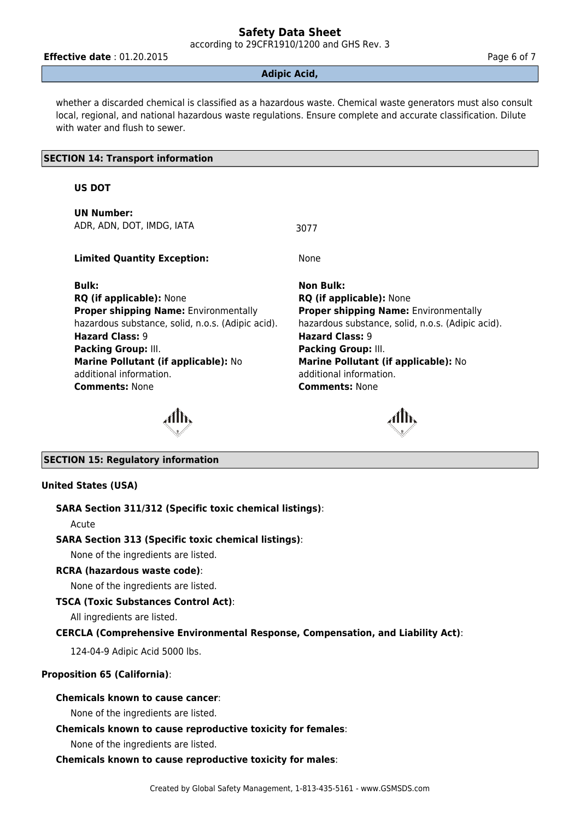according to 29CFR1910/1200 and GHS Rev. 3

**Effective date** : 01.20.2015 **Page 6 of 7 Page 6 of 7** 

#### **Adipic Acid,**

whether a discarded chemical is classified as a hazardous waste. Chemical waste generators must also consult local, regional, and national hazardous waste regulations. Ensure complete and accurate classification. Dilute with water and flush to sewer.

#### **SECTION 14: Transport information**

#### **US DOT**

**UN Number:** ADR, ADN, DOT, IMDG, IATA 3077

**Limited Quantity Exception:** None

**Bulk: Non Bulk: RQ (if applicable):** None **RQ (if applicable):** None **Proper shipping Name:** Environmentally hazardous substance, solid, n.o.s. (Adipic acid). **Hazard Class:** 9 **Hazard Class:** 9 **Packing Group:** III. **Packing Group:** III. **Marine Pollutant (if applicable):** No additional information. **Comments:** None **Comments:** None

**Proper shipping Name:** Environmentally hazardous substance, solid, n.o.s. (Adipic acid). **Marine Pollutant (if applicable):** No additional information.



# **SECTION 15: Regulatory information**

# **United States (USA)**

# **SARA Section 311/312 (Specific toxic chemical listings)**:

Acute

# **SARA Section 313 (Specific toxic chemical listings)**:

None of the ingredients are listed.

# **RCRA (hazardous waste code)**:

None of the ingredients are listed.

# **TSCA (Toxic Substances Control Act)**:

All ingredients are listed.

# **CERCLA (Comprehensive Environmental Response, Compensation, and Liability Act)**:

124-04-9 Adipic Acid 5000 lbs.

# **Proposition 65 (California)**:

# **Chemicals known to cause cancer**:

None of the ingredients are listed.

# **Chemicals known to cause reproductive toxicity for females**:

None of the ingredients are listed.

# **Chemicals known to cause reproductive toxicity for males**: